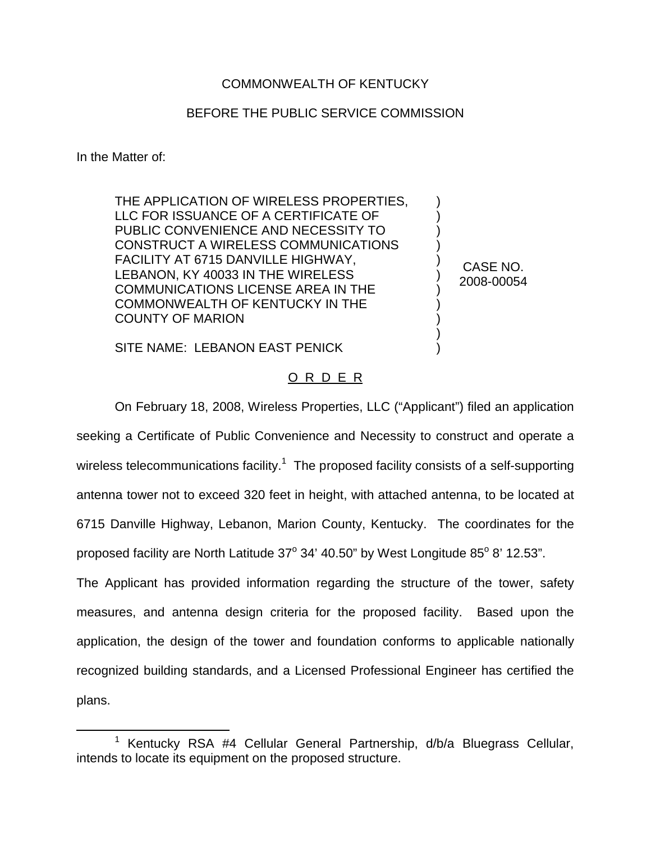## COMMONWEALTH OF KENTUCKY

## BEFORE THE PUBLIC SERVICE COMMISSION

In the Matter of:

THE APPLICATION OF WIRELESS PROPERTIES, LLC FOR ISSUANCE OF A CERTIFICATE OF PUBLIC CONVENIENCE AND NECESSITY TO CONSTRUCT A WIRELESS COMMUNICATIONS FACILITY AT 6715 DANVILLE HIGHWAY, LEBANON, KY 40033 IN THE WIRELESS COMMUNICATIONS LICENSE AREA IN THE COMMONWEALTH OF KENTUCKY IN THE COUNTY OF MARION

CASE NO. 2008-00054

) ) ) ) ) ) ) ) ) ) )

SITE NAME: LEBANON EAST PENICK

## O R D E R

On February 18, 2008, Wireless Properties, LLC ("Applicant") filed an application seeking a Certificate of Public Convenience and Necessity to construct and operate a wireless telecommunications facility.<sup>1</sup> The proposed facility consists of a self-supporting antenna tower not to exceed 320 feet in height, with attached antenna, to be located at 6715 Danville Highway, Lebanon, Marion County, Kentucky. The coordinates for the proposed facility are North Latitude  $37^{\circ}$  34' 40.50" by West Longitude 85 $^{\circ}$  8' 12.53".

The Applicant has provided information regarding the structure of the tower, safety measures, and antenna design criteria for the proposed facility. Based upon the application, the design of the tower and foundation conforms to applicable nationally recognized building standards, and a Licensed Professional Engineer has certified the plans.

<sup>&</sup>lt;sup>1</sup> Kentucky RSA #4 Cellular General Partnership, d/b/a Bluegrass Cellular, intends to locate its equipment on the proposed structure.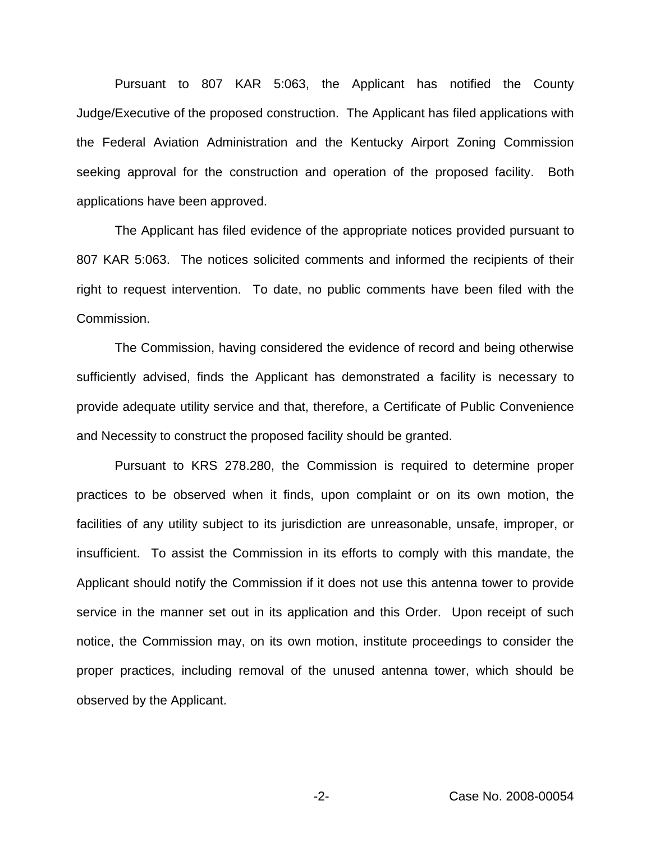Pursuant to 807 KAR 5:063, the Applicant has notified the County Judge/Executive of the proposed construction. The Applicant has filed applications with the Federal Aviation Administration and the Kentucky Airport Zoning Commission seeking approval for the construction and operation of the proposed facility. Both applications have been approved.

The Applicant has filed evidence of the appropriate notices provided pursuant to 807 KAR 5:063. The notices solicited comments and informed the recipients of their right to request intervention. To date, no public comments have been filed with the Commission.

The Commission, having considered the evidence of record and being otherwise sufficiently advised, finds the Applicant has demonstrated a facility is necessary to provide adequate utility service and that, therefore, a Certificate of Public Convenience and Necessity to construct the proposed facility should be granted.

Pursuant to KRS 278.280, the Commission is required to determine proper practices to be observed when it finds, upon complaint or on its own motion, the facilities of any utility subject to its jurisdiction are unreasonable, unsafe, improper, or insufficient. To assist the Commission in its efforts to comply with this mandate, the Applicant should notify the Commission if it does not use this antenna tower to provide service in the manner set out in its application and this Order. Upon receipt of such notice, the Commission may, on its own motion, institute proceedings to consider the proper practices, including removal of the unused antenna tower, which should be observed by the Applicant.